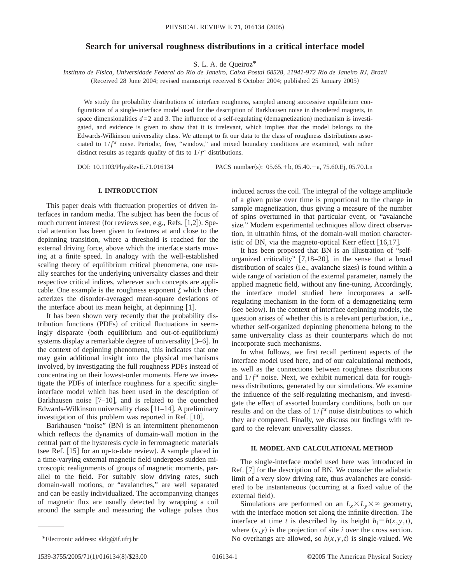# **Search for universal roughness distributions in a critical interface model**

S. L. A. de Queiroz\*

*Instituto de Física, Universidade Federal do Rio de Janeiro, Caixa Postal 68528, 21941-972 Rio de Janeiro RJ, Brazil* (Received 28 June 2004; revised manuscript received 8 October 2004; published 25 January 2005)

We study the probability distributions of interface roughness, sampled among successive equilibrium configurations of a single-interface model used for the description of Barkhausen noise in disordered magnets, in space dimensionalities  $d=2$  and 3. The influence of a self-regulating (demagnetization) mechanism is investigated, and evidence is given to show that it is irrelevant, which implies that the model belongs to the Edwards-Wilkinson universality class. We attempt to fit our data to the class of roughness distributions associated to  $1/f^{\alpha}$  noise. Periodic, free, "window," and mixed boundary conditions are examined, with rather distinct results as regards quality of fits to  $1/f^{\alpha}$  distributions.

DOI: 10.1103/PhysRevE.71.016134 PACS number(s): 05.65.+b, 05.40.-a, 75.60.Ej, 05.70.Ln

## **I. INTRODUCTION**

This paper deals with fluctuation properties of driven interfaces in random media. The subject has been the focus of much current interest (for reviews see, e.g., Refs.  $[1,2]$ ). Special attention has been given to features at and close to the depinning transition, where a threshold is reached for the external driving force, above which the interface starts moving at a finite speed. In analogy with the well-established scaling theory of equilibrium critical phenomena, one usually searches for the underlying universality classes and their respective critical indices, wherever such concepts are applicable. One example is the roughness exponent  $\zeta$  which characterizes the disorder-averaged mean-square deviations of the interface about its mean height, at depinning  $[1]$ .

It has been shown very recently that the probability distribution functions (PDFs) of critical fluctuations in seemingly disparate (both equilibrium and out-of-equilibrium) systems display a remarkable degree of universality  $[3-6]$ . In the context of depinning phenomena, this indicates that one may gain additional insight into the physical mechanisms involved, by investigating the full roughness PDFs instead of concentrating on their lowest-order moments. Here we investigate the PDFs of interface roughness for a specific singleinterface model which has been used in the description of Barkhausen noise  $[7-10]$ , and is related to the quenched Edwards-Wilkinson universality class  $[11-14]$ . A preliminary investigation of this problem was reported in Ref.  $[10]$ .

Barkhausen "noise" (BN) is an intermittent phenomenon which reflects the dynamics of domain-wall motion in the central part of the hysteresis cycle in ferromagnetic materials (see Ref.  $\lceil 15 \rceil$  for an up-to-date review). A sample placed in a time-varying external magnetic field undergoes sudden microscopic realignments of groups of magnetic moments, parallel to the field. For suitably slow driving rates, such domain-wall motions, or "avalanches," are well separated and can be easily individualized. The accompanying changes of magnetic flux are usually detected by wrapping a coil around the sample and measuring the voltage pulses thus

It has been proposed that BN is an illustration of "selforganized criticality"  $[7,18-20]$ , in the sense that a broad distribution of scales (i.e., avalanche sizes) is found within a wide range of variation of the external parameter, namely the applied magnetic field, without any fine-tuning. Accordingly, the interface model studied here incorporates a selfregulating mechanism in the form of a demagnetizing term (see below). In the context of interface depinning models, the question arises of whether this is a relevant perturbation, i.e., whether self-organized depinning phenomena belong to the same universality class as their counterparts which do not incorporate such mechanisms.

In what follows, we first recall pertinent aspects of the interface model used here, and of our calculational methods, as well as the connections between roughness distributions and  $1/f^{\alpha}$  noise. Next, we exhibit numerical data for roughness distributions, generated by our simulations. We examine the influence of the self-regulating mechanism, and investigate the effect of assorted boundary conditions, both on our results and on the class of  $1/f^{\alpha}$  noise distributions to which they are compared. Finally, we discuss our findings with regard to the relevant universality classes.

### **II. MODEL AND CALCULATIONAL METHOD**

The single-interface model used here was introduced in Ref.  $[7]$  for the description of BN. We consider the adiabatic limit of a very slow driving rate, thus avalanches are considered to be instantaneous (occurring at a fixed value of the external field).

Simulations are performed on an  $L_{x} \times L_{y} \times \infty$  geometry, with the interface motion set along the infinite direction. The interface at time *t* is described by its height  $h_i \equiv h(x, y, t)$ , where  $(x, y)$  is the projection of site *i* over the cross section. \*Electronic address: sldq@if.ufrj.br No overhangs are allowed, so  $h(x, y, t)$  is single-valued. We

induced across the coil. The integral of the voltage amplitude of a given pulse over time is proportional to the change in sample magnetization, thus giving a measure of the number of spins overturned in that particular event, or "avalanche size." Modern experimental techniques allow direct observation, in ultrathin films, of the domain-wall motion characteristic of BN, via the magneto-optical Kerr effect  $[16,17]$ .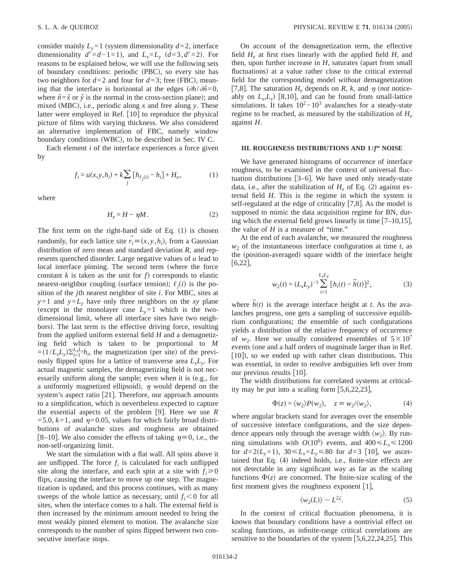consider mainly  $L_v = 1$  (system dimensionality  $d=2$ , interface dimensionality  $d' = d - 1 = 1$ , and  $L_x = L_y$   $(d = 3, d' = 2)$ . For reasons to be explained below, we will use the following sets of boundary conditions: periodic (PBC), so every site has two neighbors for  $d=2$  and four for  $d=3$ ; free (FBC), meaning that the interface is horizontal at the edges  $(\partial h/\partial \hat{n}=0)$ , where  $\hat{n} = \hat{x}$  or  $\hat{y}$  is the normal in the cross-section plane); and mixed (MBC), i.e., periodic along  $x$  and free along  $y$ . These latter were employed in Ref.  $\lceil 10 \rceil$  to reproduce the physical picture of films with varying thickness. We also considered an alternative implementation of FBC, namely window boundary conditions (WBC), to be described in Sec. IV C.

Each element *i* of the interface experiences a force given by

$$
f_i = u(x, y, h_i) + k \sum_j [h_{\ell_j(i)} - h_i] + H_e,
$$
 (1)

where

$$
H_e = H - \eta M. \tag{2}
$$

The first term on the right-hand side of Eq.  $(1)$  is chosen randomly, for each lattice site  $\vec{r}_i \equiv (x, y, h_i)$ , from a Gaussian distribution of zero mean and standard deviation *R*, and represents quenched disorder. Large negative values of *u* lead to local interface pinning. The second term (where the force constant  $k$  is taken as the unit for  $f$ ) corresponds to elastic nearest-neighbor coupling (surface tension);  $\ell_i(i)$  is the position of the *j*th nearest neighbor of site *i*. For MBC, sites at  $y=1$  and  $y=L<sub>v</sub>$  have only three neighbors on the *xy* plane (except in the monolayer case  $L_y = 1$  which is the twodimensional limit, where all interface sites have two neighbors). The last term is the effective driving force, resulting from the applied uniform external field *H* and a demagnetizing field which is taken to be proportional to *M*  $=(1/L_xL_y)\sum_{i=1}^{L_xL_y}h_i$ , the magnetization (per site) of the previously flipped spins for a lattice of transverse area  $L<sub>x</sub>L<sub>y</sub>$ . For actual magnetic samples, the demagnetizing field is not necessarily uniform along the sample; even when it is  $(e.g., for$ a uniformly magnetized ellipsoid),  $\eta$  would depend on the system's aspect ratio  $[21]$ . Therefore, our approach amounts to a simplification, which is nevertheless expected to capture the essential aspects of the problem [9]. Here we use  $R$  $=$  5.0,  $k=1$ , and  $\eta=0.05$ , values for which fairly broad distributions of avalanche sizes and roughness are obtained [8–10]. We also consider the effects of taking  $\eta \equiv 0$ , i.e., the non-self-organizing limit.

We start the simulation with a flat wall. All spins above it are unflipped. The force  $f_i$  is calculated for each unflipped site along the interface, and each spin at a site with  $f_i \ge 0$ flips, causing the interface to move up one step. The magnetization is updated, and this process continues, with as many sweeps of the whole lattice as necessary, until  $f_i < 0$  for all sites, when the interface comes to a halt. The external field is then increased by the minimum amount needed to bring the most weakly pinned element to motion. The avalanche size corresponds to the number of spins flipped between two consecutive interface stops.

On account of the demagnetization term, the effective field *He* at first rises linearly with the applied field *H*, and then, upon further increase in  $H$ , saturates (apart from small fluctuations) at a value rather close to the critical external field for the corresponding model *without* demagnetization [7,8]. The saturation  $H_e$  depends on R, k, and  $\eta$  (not noticeably on  $L_x, L_y$  [8,10], and can be found from small-lattice simulations. It takes  $10^2-10^3$  avalanches for a steady-state regime to be reached, as measured by the stabilization of  $H_e$ against *H*.

#### **III. ROUGHNESS DISTRIBUTIONS AND 1/***f* <sup>a</sup> **NOISE**

We have generated histograms of occurrence of interface roughness, to be examined in the context of universal fluctuation distributions  $[3-6]$ . We have used only steady-state data, i.e., after the stabilization of  $H_e$  of Eq. (2) against external field *H*. This is the regime in which the system is self-regulated at the edge of criticality [7,8]. As the model is supposed to mimic the data acquisition regime for BN, during which the external field grows linearly in time  $[7-10,15]$ , the value of  $H$  is a measure of "time."

At the end of each avalanche, we measured the roughness  $w<sub>2</sub>$  of the instantaneous interface configuration at time  $t$ , as the (position-averaged) square width of the interface height  $[6,22]$ ,

$$
w_2(t) = (L_x L_y)^{-1} \sum_{i=1}^{L_x L_y} [h_i(t) - \overline{h}(t)]^2,
$$
 (3)

where  $h(t)$  is the average interface height at *t*. As the avalanches progress, one gets a sampling of successive equilibrium configurations; the ensemble of such configurations yields a distribution of the relative frequency of occurrence of  $w_2$ . Here we usually considered ensembles of  $5 \times 10^{7}$ events (one and a half orders of magnitude larger than in Ref.  $[10]$ , so we ended up with rather clean distributions. This was essential, in order to resolve ambiguities left over from our previous results  $[10]$ .

The width distributions for correlated systems at criticality may be put into a scaling form  $[5,6,22,23]$ ,

$$
\Phi(z) = \langle w_2 \rangle P(w_2), \quad z \equiv w_2 \langle w_2 \rangle, \tag{4}
$$

where angular brackets stand for averages over the ensemble of successive interface configurations, and the size dependence appears only through the average width  $\langle w_2 \rangle$ . By running simulations with  $O(10^6)$  events, and  $400 \le L_x \le 1200$ for  $d=2(L_y=1)$ ,  $30 \le L_x = L_y \le 80$  for  $d=3$  [10], we ascertained that Eq.  $(4)$  indeed holds, i.e., finite-size effects are not detectable in any significant way as far as the scaling functions  $\Phi(z)$  are concerned. The finite-size scaling of the first moment gives the roughness exponent  $[1]$ ,

$$
\langle w_2(L) \rangle \sim L^{2\zeta}.\tag{5}
$$

In the context of critical fluctuation phenomena, it is known that boundary conditions have a nontrivial effect on scaling functions, as infinite-range critical correlations are sensitive to the boundaries of the system  $[5,6,22,24,25]$ . This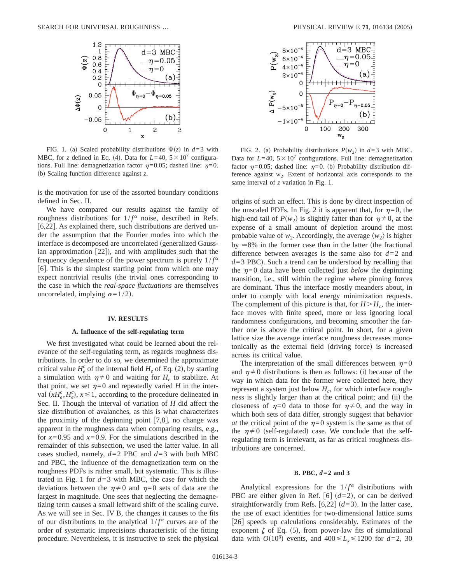

FIG. 1. (a) Scaled probability distributions  $\Phi(z)$  in  $d=3$  with MBC, for *z* defined in Eq. (4). Data for  $L=40$ ,  $5\times10^{7}$  configurations. Full line: demagnetization factor  $\eta=0.05$ ; dashed line:  $\eta=0$ . (b) Scaling function difference against *z*.

is the motivation for use of the assorted boundary conditions defined in Sec. II.

We have compared our results against the family of roughness distributions for  $1/f^{\alpha}$  noise, described in Refs.  $[6,22]$ . As explained there, such distributions are derived under the assumption that the Fourier modes into which the interface is decomposed are uncorrelated (generalized Gaussian approximation  $[22]$ , and with amplitudes such that the frequency dependence of the power spectrum is purely  $1/f^{\alpha}$ [6]. This is the simplest starting point from which one may expect nontrivial results (the trivial ones corresponding to the case in which the *real-space fluctuations* are themselves uncorrelated, implying  $\alpha=1/2$ .

#### **IV. RESULTS**

#### **A. Influence of the self-regulating term**

We first investigated what could be learned about the relevance of the self-regulating term, as regards roughness distributions. In order to do so, we determined the approximate critical value  $H_e^c$  of the internal field  $H_e$  of Eq. (2), by starting a simulation with  $\eta \neq 0$  and waiting for  $H_e$  to stabilize. At that point, we set  $\eta=0$  and repeatedly varied *H* in the interval  $\left( xH_e^c, H_e^c \right)$ ,  $x \le 1$ , according to the procedure delineated in Sec. II. Though the interval of variation of *H* did affect the size distribution of avalanches, as this is what characterizes the proximity of the depinning point  $[7,8]$ , no change was apparent in the roughness data when comparing results, e.g., for  $x=0.95$  and  $x=0.9$ . For the simulations described in the remainder of this subsection, we used the latter value. In all cases studied, namely,  $d=2$  PBC and  $d=3$  with both MBC and PBC, the influence of the demagnetization term on the roughness PDFs is rather small, but systematic. This is illustrated in Fig. 1 for  $d=3$  with MBC, the case for which the deviations between the  $\eta \neq 0$  and  $\eta=0$  sets of data are the largest in magnitude. One sees that neglecting the demagnetizing term causes a small leftward shift of the scaling curve. As we will see in Sec. IV B, the changes it causes to the fits of our distributions to the analytical  $1/f^{\alpha}$  curves are of the order of systematic imprecisions characteristic of the fitting procedure. Nevertheless, it is instructive to seek the physical



FIG. 2. (a) Probability distributions  $P(w_2)$  in  $d=3$  with MBC. Data for  $L=40$ ,  $5\times10^7$  configurations. Full line: demagnetization factor  $\eta=0.05$ ; dashed line:  $\eta=0$ . (b) Probability distribution difference against  $w_2$ . Extent of horizontal axis corresponds to the same interval of *z* variation in Fig. 1.

origins of such an effect. This is done by direct inspection of the unscaled PDFs. In Fig. 2 it is apparent that, for  $\eta=0$ , the high-end tail of  $P(w_2)$  is slightly fatter than for  $\eta \neq 0$ , at the expense of a small amount of depletion around the most probable value of  $w_2$ . Accordingly, the average  $\langle w_2 \rangle$  is higher by  $\approx 8\%$  in the former case than in the latter (the fractional difference between averages is the same also for *d*=2 and  $d=3$  PBC). Such a trend can be understood by recalling that the  $\eta=0$  data have been collected just *below* the depinning transition, i.e., still within the regime where pinning forces are dominant. Thus the interface mostly meanders about, in order to comply with local energy minimization requests. The complement of this picture is that, for  $H > H_c$ , the interface moves with finite speed, more or less ignoring local randomness configurations, and becoming smoother the farther one is above the critical point. In short, for a given lattice size the average interface roughness decreases monotonically as the external field (driving force) is increased across its critical value.

The interpretation of the small differences between  $\eta=0$ and  $\eta \neq 0$  distributions is then as follows: (i) because of the way in which data for the former were collected here, they represent a system just below  $H_c$ , for which interface roughness is slightly larger than at the critical point; and (ii) the closeness of  $\eta=0$  data to those for  $\eta\neq 0$ , and the way in which both sets of data differ, strongly suggest that behavior *at* the critical point of the  $\eta=0$  system is the same as that of the  $\eta \neq 0$  (self-regulated) case. We conclude that the selfregulating term is irrelevant, as far as critical roughness distributions are concerned.

#### **B. PBC,** *d***=2 and 3**

Analytical expressions for the  $1/f^{\alpha}$  distributions with PBC are either given in Ref.  $\vert 6 \vert \, (d=2)$ , or can be derived straightforwardly from Refs.  $[6,22]$   $(d=3)$ . In the latter case, the use of exact identities for two-dimensional lattice sums [26] speeds up calculations considerably. Estimates of the exponent  $\zeta$  of Eq. (5), from power-law fits of simulational data with  $O(10^6)$  events, and  $400 \le L_x \le 1200$  for  $d=2$ , 30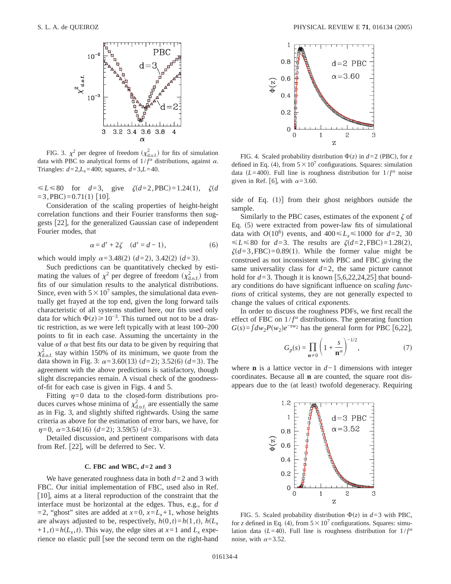

FIG. 3.  $\chi^2$  per degree of freedom  $(\chi^2_{d.o.f.})$  for fits of simulation data with PBC to analytical forms of  $1/f^{\alpha}$  distributions, against  $\alpha$ . Triangles:  $d=2, L_x=400$ ; squares,  $d=3, L=40$ .

 $\leq L \leq 80$  for  $d=3$ , give  $\zeta(d=2, PBC)=1.24(1)$ ,  $\zeta(d)$  $=3$ , PBC $=0.71(1)$  [10].

Consideration of the scaling properties of height-height correlation functions and their Fourier transforms then suggests [22], for the generalized Gaussian case of independent Fourier modes, that

$$
\alpha = d' + 2\zeta \quad (d' = d - 1),\tag{6}
$$

which would imply  $\alpha = 3.48(2)$  ( $d=2$ ), 3.42(2) ( $d=3$ ).

Such predictions can be quantitatively checked by estimating the values of  $\chi^2$  per degree of freedom  $(\chi^2_{d.o.f.})$  from fits of our simulation results to the analytical distributions. Since, even with  $5 \times 10^7$  samples, the simulational data eventually get frayed at the top end, given the long forward tails characteristic of all systems studied here, our fits used only data for which  $\Phi(z) \ge 10^{-3}$ . This turned out not to be a drastic restriction, as we were left typically with at least 100–200 points to fit in each case. Assuming the uncertainty in the value of  $\alpha$  that best fits our data to be given by requiring that  $\chi^2_{\text{d.o.f.}}$  stay within 150% of its minimum, we quote from the data shown in Fig. 3:  $\alpha = 3.60(13)(d=2)$ ; 3.52(6)  $(d=3)$ . The agreement with the above predictions is satisfactory, though slight discrepancies remain. A visual check of the goodnessof-fit for each case is given in Figs. 4 and 5.

Fitting  $\eta=0$  data to the closed-form distributions produces curves whose minima of  $\chi^2_{\text{d.o.f.}}$  are essentially the same as in Fig. 3, and slightly shifted rightwards. Using the same criteria as above for the estimation of error bars, we have, for  $\eta=0$ ,  $\alpha=3.64(16)$   $(d=2)$ ; 3.59(5)  $(d=3)$ .

Detailed discussion, and pertinent comparisons with data from Ref. [22], will be deferred to Sec. V.

## C. FBC and WBC,  $d=2$  and 3

We have generated roughness data in both *d*=2 and 3 with FBC. Our initial implementation of FBC, used also in Ref.  $\vert 10 \vert$ , aims at a literal reproduction of the constraint that the interface must be horizontal at the edges. Thus, e.g., for *d*  $=$ 2, "ghost" sites are added at *x*=0, *x*=*L<sub>x</sub>*+1, whose heights are always adjusted to be, respectively,  $h(0,t)=h(1,t)$ ,  $h(L_x)$  $+1$ , *t*)=*h*(*L<sub>x</sub>*, *t*). This way, the edge sites at *x*=1 and *L<sub>x</sub>* experience no elastic pull [see the second term on the right-hand



FIG. 4. Scaled probability distribution  $\Phi(z)$  in  $d=2$  (PBC), for *z* defined in Eq. (4), from  $5 \times 10^7$  configurations. Squares: simulation data ( $L$ =400). Full line is roughness distribution for  $1/f^{\alpha}$  noise given in Ref. [6], with  $\alpha$ =3.60.

side of Eq.  $(1)$  from their ghost neighbors outside the sample.

Similarly to the PBC cases, estimates of the exponent  $\zeta$  of Eq.  $(5)$  were extracted from power-law fits of simulational data with  $O(10^6)$  events, and  $400 \le L_x \le 1000$  for  $d=2$ , 30  $\leq L \leq 80$  for *d*=3. The results are  $\zeta$ (*d*=2,FBC)=1.28(2),  $\zeta$ (d=3,FBC)=0.89(1). While the former value might be construed as not inconsistent with PBC and FBC giving the same universality class for  $d=2$ , the same picture cannot hold for  $d=3$ . Though it is known [5,6,22,24,25] that boundary conditions do have significant influence on *scaling functions* of critical systems, they are not generally expected to change the values of critical *exponents*.

In order to discuss the roughness PDFs, we first recall the effect of FBC on  $1/f^{\alpha}$  distributions. The generating function  $G(s) = \int dw_2 P(w_2) e^{-sw_2}$  has the general form for PBC [6,22],

$$
G_p(s) = \prod_{\mathbf{n}\neq 0} \left(1 + \frac{s}{\mathbf{n}^{\alpha}}\right)^{-1/2},\tag{7}
$$

where **n** is a lattice vector in *d*−1 dimensions with integer coordinates. Because all **n** are counted, the square root disappears due to the (at least) twofold degeneracy. Requiring



FIG. 5. Scaled probability distribution  $\Phi(z)$  in  $d=3$  with PBC, for *z* defined in Eq. (4), from  $5 \times 10^7$  configurations. Squares: simulation data ( $L$ =40). Full line is roughness distribution for  $1/f^{\alpha}$ noise, with  $\alpha$ =3.52.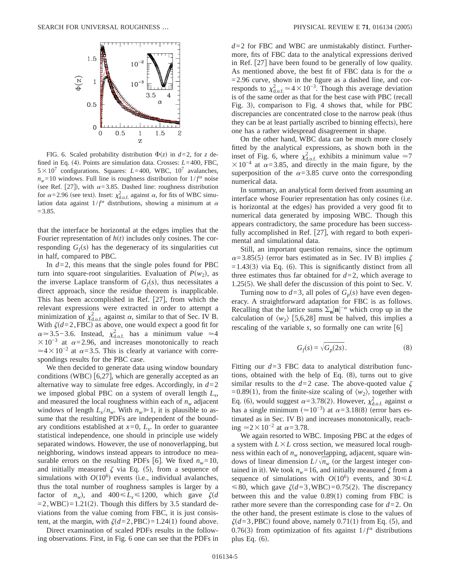

FIG. 6. Scaled probability distribution  $\Phi(z)$  in  $d=2$ , for *z* defined in Eq. (4). Points are simulation data. Crosses: *L*=400, FBC,  $5 \times 10^7$  configurations. Squares: *L*=400, WBC, 10<sup>7</sup> avalanches,  $n_w$ =10 windows. Full line is roughness distribution for  $1/f^{\alpha}$  noise (see Ref. [27]), with  $\alpha=3.85$ . Dashed line: roughness distribution for  $\alpha$ =2.96 (see text). Inset:  $\chi^2_{d.o.f.}$  against  $\alpha$ , for fits of WBC simulation data against  $1/f^{\alpha}$  distributions, showing a minimum at  $\alpha$  $=$  3.85.

that the interface be horizontal at the edges implies that the Fourier representation of  $h(t)$  includes only cosines. The corresponding  $G_f(s)$  has the degeneracy of its singularities cut in half, compared to PBC.

In  $d=2$ , this means that the single poles found for PBC turn into square-root singularities. Evaluation of  $P(w_2)$ , as the inverse Laplace transform of  $G_f(s)$ , thus necessitates a direct approach, since the residue theorem is inapplicable. This has been accomplished in Ref.  $[27]$ , from which the relevant expressions were extracted in order to attempt a minimization of  $\chi^2_{\text{d.o.f.}}$  against  $\alpha$ , similar to that of Sec. IV B. With  $\zeta$ ( $d$ =2,FBC) as above, one would expect a good fit for  $\alpha \approx 3.5-3.6$ . Instead,  $\chi^2_{\text{d.o.f.}}$  has a minimum value  $\approx 4$  $\times 10^{-3}$  at  $\alpha$ =2.96, and increases monotonically to reach  $\approx$ 4 $\times$ 10<sup>-2</sup> at  $\alpha$ =3.5. This is clearly at variance with correspondings results for the PBC case.

We then decided to generate data using window boundary conditions (WBC)  $[6,27]$ , which are generally accepted as an alternative way to simulate free edges. Accordingly, in *d*=2 we imposed global PBC on a system of overall length *Lx*, and measured the local roughness within each of  $n_w$  adjacent windows of length  $L_x/n_w$ . With  $n_w \ge 1$ , it is plausible to assume that the resulting PDFs are independent of the boundary conditions established at  $x=0$ ,  $L_x$ . In order to guarantee statistical independence, one should in principle use widely separated windows. However, the use of nonoverlapping, but neighboring, windows instead appears to introduce no measurable errors on the resulting PDFs [6]. We fixed  $n_w=10$ , and initially measured  $\zeta$  via Eq. (5), from a sequence of simulations with  $O(10^6)$  events (i.e., individual avalanches, thus the total number of roughness samples is larger by a factor of  $n_w$ ), and  $400 \le L_x \le 1200$ , which gave  $\zeta/d$  $=2$ , WBC $)=1.21(2)$ . Though this differs by 3.5 standard deviations from the value coming from FBC, it is just consistent, at the margin, with  $\zeta$ ( $d=2$ , PBC)=1.24(1) found above.

Direct examination of scaled PDFs results in the following observations. First, in Fig. 6 one can see that the PDFs in *d*=2 for FBC and WBC are unmistakably distinct. Furthermore, fits of FBC data to the analytical expressions derived in Ref.  $[27]$  have been found to be generally of low quality. As mentioned above, the best fit of FBC data is for the  $\alpha$ =2.96 curve, shown in the figure as a dashed line, and corresponds to  $\chi^2_{\text{d.o.f.}} \simeq 4 \times 10^{-3}$ . Though this average deviation is of the same order as that for the best case with PBC (recall Fig. 3), comparison to Fig. 4 shows that, while for PBC discrepancies are concentrated close to the narrow peak (thus they can be at least partially ascribed to binning effects), here one has a rather widespread disagreement in shape.

On the other hand, WBC data can be much more closely fitted by the analytical expressions, as shown both in the inset of Fig. 6, where  $\chi^2_{\text{d.o.f.}}$  exhibits a minimum value  $\approx$ 7  $\times$ 10<sup>-4</sup> at  $\alpha$ =3.85, and directly in the main figure, by the superposition of the  $\alpha$ =3.85 curve onto the corresponding numerical data.

In summary, an analytical form derived from assuming an interface whose Fourier representation has only cosines (i.e. is horizontal at the edges) has provided a very good fit to numerical data generated by imposing WBC. Though this appears contradictory, the same procedure has been successfully accomplished in Ref.  $[27]$ , with regard to both experimental and simulational data.

Still, an important question remains, since the optimum  $\alpha$ =3.85(5) (error bars estimated as in Sec. IV B) implies  $\zeta$  $=1.43(3)$  via Eq. (6). This is significantly distinct from all three estimates thus far obtained for  $d=2$ , which average to  $1.25(5)$ . We shall defer the discussion of this point to Sec. V.

Turning now to  $d=3$ , all poles of  $G_p(s)$  have even degeneracy. A straightforward adaptation for FBC is as follows. Recalling that the lattice sums  $\sum_{n} |n|^{-\alpha}$  which crop up in the calculation of  $\langle w_2 \rangle$  [5,6,28] must be halved, this implies a rescaling of the variable  $s$ , so formally one can write  $[6]$ 

$$
G_f(s) = \sqrt{G_p(2s)}.
$$
 (8)

Fitting our  $d=3$  FBC data to analytical distribution functions, obtained with the help of Eq.  $(8)$ , turns out to give similar results to the  $d=2$  case. The above-quoted value  $\zeta$ =0.89(1), from the finite-size scaling of  $\langle w_2 \rangle$ , together with Eq. (6), would suggest  $\alpha = 3.78(2)$ . However,  $\chi^2_{d.o.f.}$  against  $\alpha$ has a single minimum  $(\simeq 10^{-3})$  at  $\alpha$ =3.18(8) (error bars estimated as in Sec. IV B) and increases monotonically, reaching  $\simeq$  2 × 10<sup>-2</sup> at  $\alpha$ =3.78.

We again resorted to WBC. Imposing PBC at the edges of a system with  $L\times L$  cross section, we measured local roughness within each of  $n_w$  nonoverlapping, adjacent, square windows of linear dimension  $L/\sqrt{n_w}$  (or the largest integer contained in it). We took  $n_w$ =16, and initially measured  $\zeta$  from a sequence of simulations with  $O(10^6)$  events, and  $30 \le L$  $\leq 80$ , which gave  $\zeta(d=3, WBC) = 0.75(2)$ . The discrepancy between this and the value  $0.89(1)$  coming from FBC is rather more severe than the corresponding case for *d*=2. On the other hand, the present estimate is close to the values of  $\zeta$ ( $d=3$ , PBC) found above, namely 0.71(1) from Eq. (5), and 0.76(3) from optimization of fits against  $1/f^{\alpha}$  distributions plus Eq.  $(6)$ .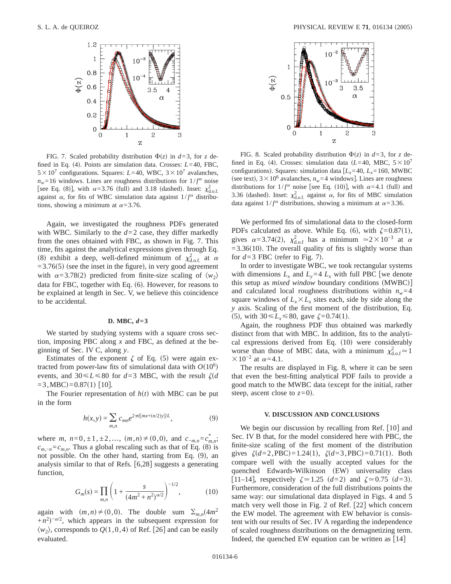

FIG. 7. Scaled probability distribution  $\Phi(z)$  in  $d=3$ , for *z* defined in Eq.  $(4)$ . Points are simulation data. Crosses: *L*=40, FBC,  $5 \times 10^7$  configurations. Squares: *L*=40, WBC,  $3 \times 10^7$  avalanches,  $n_w$ =16 windows. Lines are roughness distributions for  $1/f^\alpha$  noise [see Eq. (8)], with  $\alpha = 3.76$  (full) and 3.18 (dashed). Inset:  $\chi^2_{\text{d.o.f.}}$ against  $\alpha$ , for fits of WBC simulation data against  $1/f^{\alpha}$  distributions, showing a minimum at  $\alpha$ =3.76.

Again, we investigated the roughness PDFs generated with WBC. Similarly to the *d*=2 case, they differ markedly from the ones obtained with FBC, as shown in Fig. 7. This time, fits against the analytical expressions given through Eq. (8) exhibit a deep, well-defined minimum of  $\chi^2_{\text{d.o.f.}}$  at  $\alpha$  $=3.76(5)$  (see the inset in the figure), in very good agreement with  $\alpha = 3.78(2)$  predicted from finite-size scaling of  $\langle w_2 \rangle$ data for FBC, together with Eq.  $(6)$ . However, for reasons to be explained at length in Sec. V, we believe this coincidence to be accidental.

## **D.** MBC,  $d=3$

We started by studying systems with a square cross section, imposing PBC along *x* and FBC, as defined at the beginning of Sec. IV C, along *y*.

Estimates of the exponent  $\zeta$  of Eq. (5) were again extracted from power-law fits of simulational data with  $O(10^6)$ events, and  $30 \le L \le 80$  for  $d=3$  MBC, with the result  $\zeta/d$  $=3$ , MBC $=0.87(1)$  [10].

The Fourier representation of  $h(t)$  with MBC can be put in the form

$$
h(x, y) = \sum_{m,n} c_{mn} e^{2\pi i [mx + (n/2)y]/L},
$$
\n(9)

where *m*,  $n=0, \pm 1, \pm 2, ..., (m,n) \neq (0,0)$ , and  $c_{-m,n} = c_{m,n}^*$ ;  $c_{m,-n} = c_{m,n}$ . Thus a global rescaling such as that of Eq. (8) is not possible. On the other hand, starting from Eq. (9), an analysis similar to that of Refs.  $[6,28]$  suggests a generating function,

$$
G_m(s) = \prod_{m,n} \left( 1 + \frac{s}{(4m^2 + n^2)^{\alpha/2}} \right)^{-1/2},\tag{10}
$$

again with  $(m,n) \neq (0,0)$ . The double sum  $\sum_{m,n}$  4*m*<sup>2</sup>  $+n^2$ <sup>- $\alpha$ /2, which appears in the subsequent expression for</sup>  $\langle w_2 \rangle$ , corresponds to  $Q(1,0,4)$  of Ref. [26] and can be easily evaluated.



FIG. 8. Scaled probability distribution  $\Phi(z)$  in  $d=3$ , for *z* defined in Eq. (4). Crosses: simulation data  $(L=40, \text{ MBC}, 5\times10^7)$ configurations). Squares: simulation data  $[L_x=40, L_x=160, MWBC]$ (see text),  $3 \times 10^6$  avalanches,  $n_w$ =4 windows]. Lines are roughness distributions for  $1/f^{\alpha}$  noise [see Eq. (10)], with  $\alpha$ =4.1 (full) and 3.36 (dashed). Inset:  $\chi^2_{\text{d.o.f.}}$  against  $\alpha$ , for fits of MBC simulation data against  $1/f^{\alpha}$  distributions, showing a minimum at  $\alpha$ =3.36.

We performed fits of simulational data to the closed-form PDFs calculated as above. While Eq. (6), with  $\zeta = 0.87(1)$ , gives  $\alpha = 3.74(2)$ ,  $\chi^2_{d.o.f}$  has a minimum  $\approx 2 \times 10^{-3}$  at  $\alpha$  $=3.36(10)$ . The overall quality of fits is slightly worse than for  $d=3$  FBC (refer to Fig. 7).

In order to investigate WBC, we took rectangular systems with dimensions  $L_x$  and  $L_y = 4 L_x$  with full PBC [we denote this setup as *mixed window* boundary conditions (MWBC)] and calculated local roughness distributions within  $n_w = 4$ square windows of  $L_x \times L_x$  sites each, side by side along the *y* axis. Scaling of the first moment of the distribution, Eq. (5), with  $30 \le L_{\rm x} \le 80$ , gave  $\zeta = 0.74(1)$ .

Again, the roughness PDF thus obtained was markedly distinct from that with MBC. In addition, fits to the analytical expressions derived from Eq.  $(10)$  were considerably worse than those of MBC data, with a minimum  $\chi^2_{d.o.f} \approx 1$  $\times 10^{-2}$  at  $\alpha$ =4.1.

The results are displayed in Fig. 8, where it can be seen that even the best-fitting analytical PDF fails to provide a good match to the MWBC data (except for the initial, rather steep, ascent close to  $z=0$ ).

### **V. DISCUSSION AND CONCLUSIONS**

We begin our discussion by recalling from Ref.  $[10]$  and Sec. IV B that, for the model considered here with PBC, the finite-size scaling of the first moment of the distribution gives  $\zeta(d=2, PBC) = 1.24(1), \zeta(d=3, PBC) = 0.71(1).$  Both compare well with the usually accepted values for the quenched Edwards-Wilkinson (EW) universality class [11–14], respectively  $\zeta \approx 1.25$  (*d*=2) and  $\zeta \approx 0.75$  (*d*=3). Furthermore, consideration of the full distributions points the same way: our simulational data displayed in Figs. 4 and 5 match very well those in Fig. 2 of Ref.  $[22]$  which concern the EW model. The agreement with EW behavior is consistent with our results of Sec. IV A regarding the independence of scaled roughness distributions on the demagnetizing term. Indeed, the quenched EW equation can be written as  $[14]$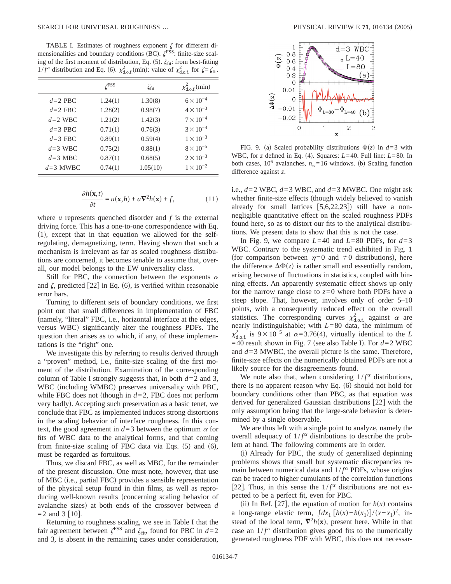TABLE I. Estimates of roughness exponent  $\zeta$  for different dimensionalities and boundary conditions (BC).  $\zeta$ <sup>FSS</sup>: finite-size scaling of the first moment of distribution, Eq.  $(5)$ .  $\zeta_{\text{fit}}$ : from best-fitting  $1/f^{\alpha}$  distribution and Eq. (6).  $\chi^{2}_{d.o.f.}(\text{min})$ : value of  $\chi^{2}_{d.o.f.}$  for  $\zeta = \zeta_{\text{fit}}$ .

|            | 7 <sup>FSS</sup> | $\zeta_{\rm fit}$ | $\chi^2_{\text{d.o.f.}}(\text{min})$ |
|------------|------------------|-------------------|--------------------------------------|
| $d=2$ PBC  | 1.24(1)          | 1.30(8)           | $6 \times 10^{-4}$                   |
| $d=2$ FBC  | 1.28(2)          | 0.98(7)           | $4 \times 10^{-3}$                   |
| $d=2$ WBC  | 1.21(2)          | 1.42(3)           | $7\times10^{-4}$                     |
| $d=3$ PBC  | 0.71(1)          | 0.76(3)           | $3 \times 10^{-4}$                   |
| $d=3$ FBC  | 0.89(1)          | 0.59(4)           | $1 \times 10^{-3}$                   |
| $d=3$ WBC  | 0.75(2)          | 0.88(1)           | $8\times10^{-5}$                     |
| $d=3$ MBC  | 0.87(1)          | 0.68(5)           | $2\times10^{-3}$                     |
| $d=3$ MWBC | 0.74(1)          | 1.05(10)          | $1 \times 10^{-2}$                   |

$$
\frac{\partial h(\mathbf{x},t)}{\partial t} = u(\mathbf{x},h) + a\nabla^2 h(\mathbf{x}) + f,\tag{11}
$$

where *u* represents quenched disorder and *f* is the external driving force. This has a one-to-one correspondence with Eq.  $(1)$ , except that in that equation we allowed for the selfregulating, demagnetizing, term. Having shown that such a mechanism is irrelevant as far as scaled roughness distributions are concerned, it becomes tenable to assume that, overall, our model belongs to the EW universality class.

Still for PBC, the connection between the exponents  $\alpha$ and  $\zeta$ , predicted [22] in Eq. (6), is verified within reasonable error bars.

Turning to different sets of boundary conditions, we first point out that small differences in implementation of FBC (namely, "literal" FBC, i.e., horizontal interface at the edges, versus WBC) significantly alter the roughness PDFs. The question then arises as to which, if any, of these implementations is the "right" one.

We investigate this by referring to results derived through a "proven" method, i.e., finite-size scaling of the first moment of the distribution. Examination of the corresponding column of Table I strongly suggests that, in both *d*=2 and 3, WBC (including WMBC) preserves universality with PBC, while FBC does not (though in  $d=2$ , FBC does not perform very badly). Accepting such preservation as a basic tenet, we conclude that FBC as implemented induces strong distortions in the scaling behavior of interface roughness. In this context, the good agreement in  $d=3$  between the optimum  $\alpha$  for fits of WBC data to the analytical forms, and that coming from finite-size scaling of FBC data via Eqs.  $(5)$  and  $(6)$ , must be regarded as fortuitous.

Thus, we discard FBC, as well as MBC, for the remainder of the present discussion. One must note, however, that use of MBC (i.e., partial FBC) provides a sensible representation of the physical setup found in thin films, as well as reproducing well-known results (concerning scaling behavior of avalanche sizes) at both ends of the crossover between *d*  $=$  2 and 3 [10].

Returning to roughness scaling, we see in Table I that the fair agreement between  $\zeta$ <sup>FSS</sup> and  $\zeta$ <sub>fit</sub>, found for PBC in *d*=2 and 3, is absent in the remaining cases under consideration,



FIG. 9. (a) Scaled probability distributions  $\Phi(z)$  in  $d=3$  with WBC, for *z* defined in Eq. (4). Squares:  $L=40$ . Full line:  $L=80$ . In both cases,  $10^6$  avalanches,  $n_w = 16$  windows. (b) Scaling function difference against *z*.

i.e., *d*=2 WBC, *d*=3 WBC, and *d*=3 MWBC. One might ask whether finite-size effects (though widely believed to vanish already for small lattices  $[5,6,22,23]$  still have a nonnegligible quantitative effect on the scaled roughness PDFs found here, so as to distort our fits to the analytical distributions. We present data to show that this is not the case.

In Fig. 9, we compare  $L=40$  and  $L=80$  PDFs, for  $d=3$ WBC. Contrary to the systematic trend exhibited in Fig. 1 (for comparison between  $\eta=0$  and  $\neq 0$  distributions), here the difference  $\Delta \Phi(z)$  is rather small and essentially random, arising because of fluctuations in statistics, coupled with binning effects. An apparently systematic effect shows up only for the narrow range close to  $z=0$  where both PDFs have a steep slope. That, however, involves only of order 5–10 points, with a consequently reduced effect on the overall statistics. The corresponding curves  $\chi^2_{\text{d.o.f.}}$  against  $\alpha$  are nearly indistinguishable; with *L*=80 data, the minimum of  $\chi^2_{d.o.f.}$  is  $9 \times 10^{-5}$  at  $\alpha = 3.76(4)$ , virtually identical to the *L*  $=40$  result shown in Fig. 7 (see also Table I). For  $d=2$  WBC and *d*=3 MWBC, the overall picture is the same. Therefore, finite-size effects on the numerically obtained PDFs are not a likely source for the disagreements found.

We note also that, when considering  $1/f^{\alpha}$  distributions, there is no apparent reason why Eq.  $(6)$  should not hold for boundary conditions other than PBC, as that equation was derived for generalized Gaussian distributions  $[22]$  with the only assumption being that the large-scale behavior is determined by a single observable.

We are thus left with a single point to analyze, namely the overall adequacy of  $1/f^{\alpha}$  distributions to describe the problem at hand. The following comments are in order.

(i) Already for PBC, the study of generalized depinning problems shows that small but systematic discrepancies remain between numerical data and  $1/f^{\alpha}$  PDFs, whose origins can be traced to higher cumulants of the correlation functions [22]. Thus, in this sense the  $1/f^{\alpha}$  distributions are not expected to be a perfect fit, even for PBC.

(ii) In Ref. [27], the equation of motion for  $h(x)$  contains a long-range elastic term,  $\int dx_1 [h(x)-h(x_1)]/(x-x_1)^2$ , instead of the local term,  $\nabla^2 h(\mathbf{x})$ , present here. While in that case an  $1/f^{\alpha}$  distribution gives good fits to the numerically generated roughness PDF with WBC, this does not necessar